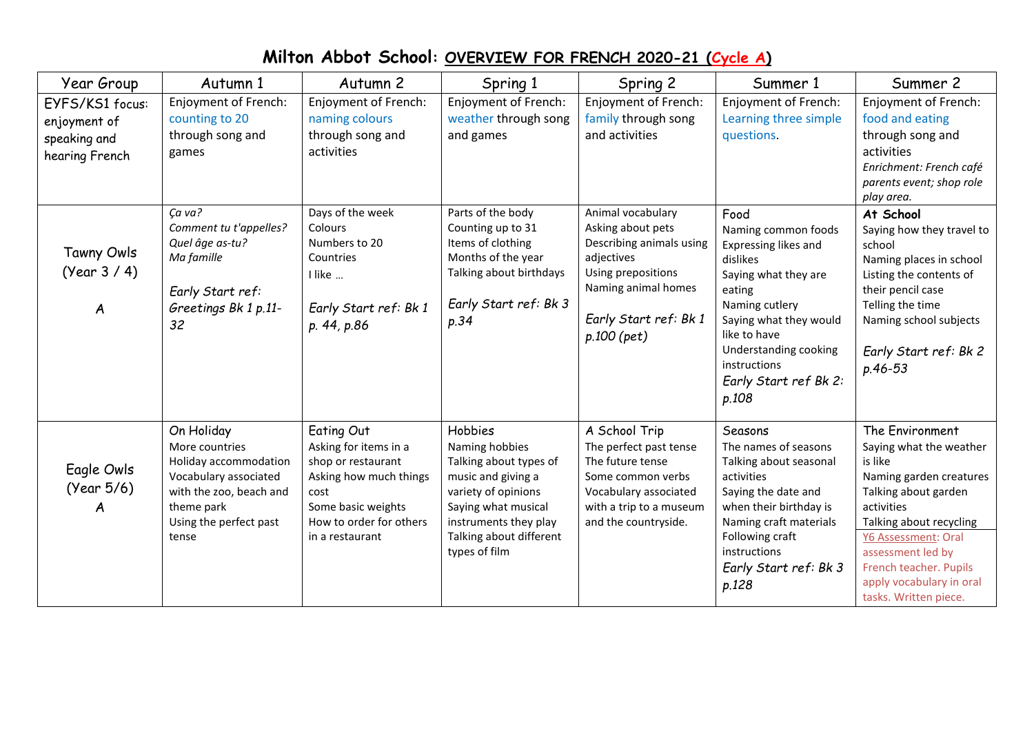## **Milton Abbot School: OVERVIEW FOR FRENCH 2020-21 (Cycle A)**

| Year Group                                                        | Autumn 1                                                                                                                                                   | Autumn 2                                                                                                                                                        | Spring 1                                                                                                                                                                                            | Spring 2                                                                                                                                                                | Summer 1                                                                                                                                                                                                                                 | Summer 2                                                                                                                                                                                                                                                                     |
|-------------------------------------------------------------------|------------------------------------------------------------------------------------------------------------------------------------------------------------|-----------------------------------------------------------------------------------------------------------------------------------------------------------------|-----------------------------------------------------------------------------------------------------------------------------------------------------------------------------------------------------|-------------------------------------------------------------------------------------------------------------------------------------------------------------------------|------------------------------------------------------------------------------------------------------------------------------------------------------------------------------------------------------------------------------------------|------------------------------------------------------------------------------------------------------------------------------------------------------------------------------------------------------------------------------------------------------------------------------|
| EYFS/KS1 focus:<br>enjoyment of<br>speaking and<br>hearing French | Enjoyment of French:<br>counting to 20<br>through song and<br>games                                                                                        | <b>Enjoyment of French:</b><br>naming colours<br>through song and<br>activities                                                                                 | <b>Enjoyment of French:</b><br>weather through song<br>and games                                                                                                                                    | Enjoyment of French:<br>family through song<br>and activities                                                                                                           | Enjoyment of French:<br>Learning three simple<br>questions.                                                                                                                                                                              | Enjoyment of French:<br>food and eating<br>through song and<br>activities<br>Enrichment: French café<br>parents event; shop role<br>play area.                                                                                                                               |
| Tawny Owls<br>(Year 3 / 4)<br>A                                   | Ca va?<br>Comment tu t'appelles?<br>Quel âge as-tu?<br>Ma famille<br>Early Start ref:<br>Greetings Bk 1 p.11-<br>32                                        | Days of the week<br><b>Colours</b><br>Numbers to 20<br>Countries<br>I like<br>Early Start ref: Bk 1<br>p. 44, p.86                                              | Parts of the body<br>Counting up to 31<br>Items of clothing<br>Months of the year<br>Talking about birthdays<br>Early Start ref: Bk 3<br>p.34                                                       | Animal vocabulary<br>Asking about pets<br>Describing animals using<br>adjectives<br>Using prepositions<br>Naming animal homes<br>Early Start ref: Bk 1<br>$p.100$ (pet) | Food<br>Naming common foods<br>Expressing likes and<br>dislikes<br>Saying what they are<br>eating<br>Naming cutlery<br>Saying what they would<br>like to have<br>Understanding cooking<br>instructions<br>Early Start ref Bk 2:<br>p.108 | At School<br>Saying how they travel to<br>school<br>Naming places in school<br>Listing the contents of<br>their pencil case<br>Telling the time<br>Naming school subjects<br>Early Start ref: Bk 2<br>p.46-53                                                                |
| Eagle Owls<br>(Year 5/6)<br>A                                     | On Holiday<br>More countries<br>Holiday accommodation<br>Vocabulary associated<br>with the zoo, beach and<br>theme park<br>Using the perfect past<br>tense | Eating Out<br>Asking for items in a<br>shop or restaurant<br>Asking how much things<br>cost<br>Some basic weights<br>How to order for others<br>in a restaurant | <b>Hobbies</b><br>Naming hobbies<br>Talking about types of<br>music and giving a<br>variety of opinions<br>Saying what musical<br>instruments they play<br>Talking about different<br>types of film | A School Trip<br>The perfect past tense<br>The future tense<br>Some common verbs<br>Vocabulary associated<br>with a trip to a museum<br>and the countryside.            | Seasons<br>The names of seasons<br>Talking about seasonal<br>activities<br>Saying the date and<br>when their birthday is<br>Naming craft materials<br>Following craft<br>instructions<br>Early Start ref: Bk 3<br>p.128                  | The Environment<br>Saying what the weather<br>is like<br>Naming garden creatures<br>Talking about garden<br>activities<br>Talking about recycling<br>Y6 Assessment: Oral<br>assessment led by<br>French teacher. Pupils<br>apply vocabulary in oral<br>tasks. Written piece. |